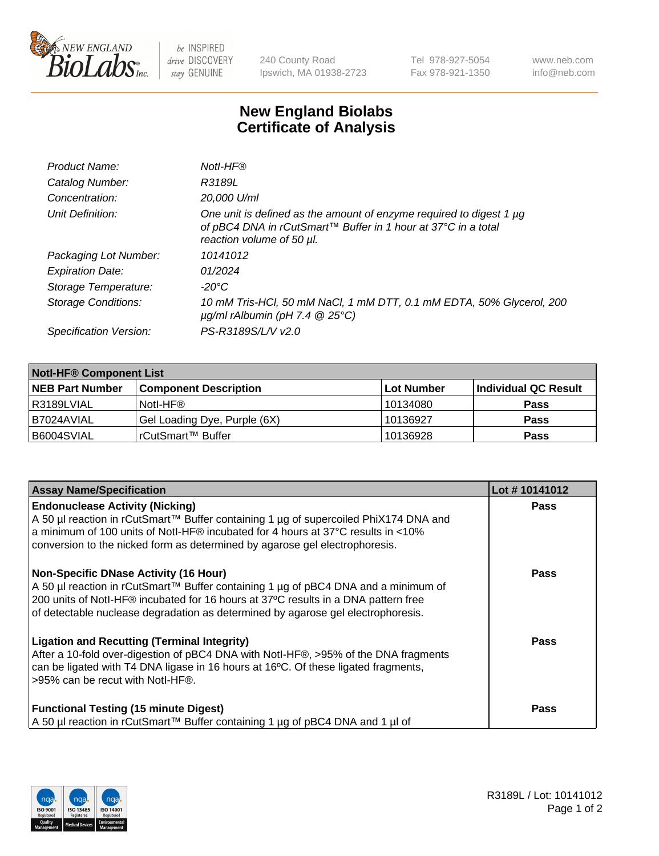

 $be$  INSPIRED drive DISCOVERY stay GENUINE

240 County Road Ipswich, MA 01938-2723 Tel 978-927-5054 Fax 978-921-1350 www.neb.com info@neb.com

## **New England Biolabs Certificate of Analysis**

| Notl-HF®                                                                                                                                                          |
|-------------------------------------------------------------------------------------------------------------------------------------------------------------------|
| R3189L                                                                                                                                                            |
| 20,000 U/ml                                                                                                                                                       |
| One unit is defined as the amount of enzyme required to digest 1 µg<br>of pBC4 DNA in rCutSmart™ Buffer in 1 hour at 37°C in a total<br>reaction volume of 50 µl. |
| 10141012                                                                                                                                                          |
| 01/2024                                                                                                                                                           |
| $-20^{\circ}$ C                                                                                                                                                   |
| 10 mM Tris-HCl, 50 mM NaCl, 1 mM DTT, 0.1 mM EDTA, 50% Glycerol, 200<br>$\mu$ g/ml rAlbumin (pH 7.4 $\circledR$ 25°C)                                             |
| PS-R3189S/L/V v2.0                                                                                                                                                |
|                                                                                                                                                                   |

| <b>Notl-HF® Component List</b> |                              |            |                      |  |  |
|--------------------------------|------------------------------|------------|----------------------|--|--|
| <b>NEB Part Number</b>         | <b>Component Description</b> | Lot Number | Individual QC Result |  |  |
| R3189LVIAL                     | Notl-HF®                     | 10134080   | <b>Pass</b>          |  |  |
| B7024AVIAL                     | Gel Loading Dye, Purple (6X) | 10136927   | <b>Pass</b>          |  |  |
| B6004SVIAL                     | rCutSmart™ Buffer            | 10136928   | <b>Pass</b>          |  |  |

| <b>Assay Name/Specification</b>                                                                                                                                                                                                                                                                              | Lot #10141012 |
|--------------------------------------------------------------------------------------------------------------------------------------------------------------------------------------------------------------------------------------------------------------------------------------------------------------|---------------|
| <b>Endonuclease Activity (Nicking)</b><br>A 50 µl reaction in rCutSmart™ Buffer containing 1 µg of supercoiled PhiX174 DNA and<br>a minimum of 100 units of Notl-HF® incubated for 4 hours at 37°C results in <10%<br>conversion to the nicked form as determined by agarose gel electrophoresis.            | <b>Pass</b>   |
| <b>Non-Specific DNase Activity (16 Hour)</b><br>A 50 µl reaction in rCutSmart™ Buffer containing 1 µg of pBC4 DNA and a minimum of<br>200 units of Notl-HF® incubated for 16 hours at 37°C results in a DNA pattern free<br>of detectable nuclease degradation as determined by agarose gel electrophoresis. | Pass          |
| <b>Ligation and Recutting (Terminal Integrity)</b><br>After a 10-fold over-digestion of pBC4 DNA with Notl-HF®, >95% of the DNA fragments<br>can be ligated with T4 DNA ligase in 16 hours at 16°C. Of these ligated fragments,<br>>95% can be recut with Notl-HF®.                                          | Pass          |
| <b>Functional Testing (15 minute Digest)</b><br>A 50 µl reaction in rCutSmart™ Buffer containing 1 µg of pBC4 DNA and 1 µl of                                                                                                                                                                                | Pass          |